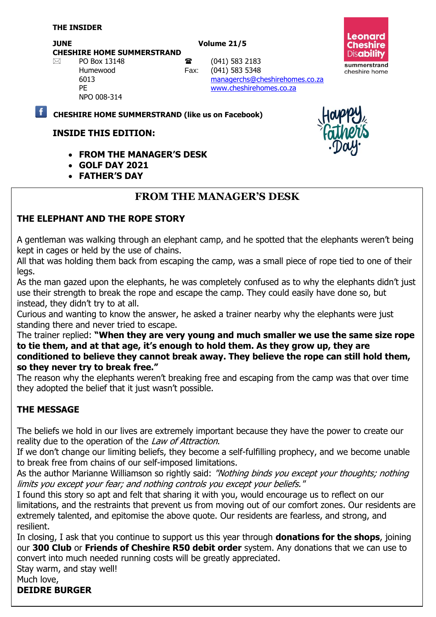#### **JUNE** Volume 21/5

**CHESHIRE HOME SUMMERSTRAND**

**Leonard Cheshire Disability** summerstrand cheshire home

NPO 008-314

 $\boxtimes$  PO Box 13148 **a** (041) 583 2183 Humewood Fax: (041) 583 5348 6013 [managerchs@cheshirehomes.co.za](mailto:managerchs@cheshirehomes.co.za) PE [www.cheshirehomes.co.za](http://www.cheshirehomes.co.za/)

**CHESHIRE HOME SUMMERSTRAND (like us on Facebook)**

#### **INSIDE THIS EDITION:**

- **FROM THE MANAGER'S DESK**
- **GOLF DAY 2021**
- **FATHER'S DAY**

# **FROM THE MANAGER'S DESK**

### **THE ELEPHANT AND THE ROPE STORY**

A gentleman was walking through an elephant camp, and he spotted that the elephants weren't being kept in cages or held by the use of chains.

All that was holding them back from escaping the camp, was a small piece of rope tied to one of their legs.

As the man gazed upon the elephants, he was completely confused as to why the elephants didn't just use their strength to break the rope and escape the camp. They could easily have done so, but instead, they didn't try to at all.

Curious and wanting to know the answer, he asked a trainer nearby why the elephants were just standing there and never tried to escape.

The trainer replied: **"When they are very young and much smaller we use the same size rope to tie them, and at that age, it's enough to hold them. As they grow up, they are conditioned to believe they cannot break away. They believe the rope can still hold them, so they never try to break free."**

The reason why the elephants weren't breaking free and escaping from the camp was that over time they adopted the belief that it just wasn't possible.

#### **THE MESSAGE**

The beliefs we hold in our lives are extremely important because they have the power to create our reality due to the operation of the *Law of [Attraction](https://www.thesouljam.com/post/what-is-the-law-of-attraction-and-how-to-apply-it-effectively)*.

If we don't change our limiting beliefs, they become a self-fulfilling prophecy, and we become unable to break free from chains of our self-imposed limitations.

As the author Marianne Williamson so rightly said: "Nothing binds you except your thoughts; nothing limits you except your fear; and nothing controls you except your beliefs."

I found this story so apt and felt that sharing it with you, would encourage us to reflect on our limitations, and the restraints that prevent us from moving out of our comfort zones. Our residents are extremely talented, and epitomise the above quote. Our residents are fearless, and strong, and resilient.

In closing, I ask that you continue to support us this year through **donations for the shops**, joining our **300 Club** or **Friends of Cheshire R50 debit order** system. Any donations that we can use to convert into much needed running costs will be greatly appreciated.

Stay warm, and stay well!

Much love,

**DEIDRE BURGER**

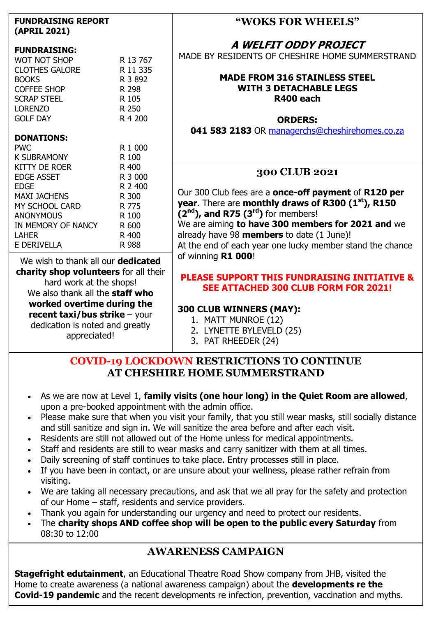| <b>FUNDRAISING REPORT</b> |
|---------------------------|
| (APRIL 2021)              |

#### **FUNDRAISING:**

| <b>WOT NOT SHOP</b><br><b>CLOTHES GALORE</b><br><b>BOOKS</b><br><b>COFFEE SHOP</b><br><b>SCRAP STEEL</b><br><b>LORENZO</b><br><b>GOLF DAY</b> | R 13 767<br>R 11 335<br>R 3 892<br>R 298<br>R 105<br>R 250<br>R 4 200 |
|-----------------------------------------------------------------------------------------------------------------------------------------------|-----------------------------------------------------------------------|
|                                                                                                                                               |                                                                       |
| <b>DONATIONS:</b>                                                                                                                             |                                                                       |
| <b>PWC</b>                                                                                                                                    | R 1 000                                                               |
| K SUBRAMONY                                                                                                                                   | R 100                                                                 |
| KITTY DE ROER                                                                                                                                 | R 400                                                                 |
| <b>EDGE ASSET</b>                                                                                                                             | R 3 000                                                               |
| EDGE                                                                                                                                          | R 2 400                                                               |
| MAXI JACHENS                                                                                                                                  | R 300                                                                 |
| MY SCHOOL CARD                                                                                                                                | R 775                                                                 |
| <b>ANONYMOUS</b>                                                                                                                              | R 100                                                                 |
| IN MEMORY OF NANCY                                                                                                                            | R 600                                                                 |
| LAHER                                                                                                                                         | R 400                                                                 |
| E DERIVELLA                                                                                                                                   | R 988                                                                 |

We wish to thank all our **dedicated charity shop volunteers** for all their hard work at the shops! We also thank all the **staff who worked overtime during the recent taxi/bus strike** – your dedication is noted and greatly appreciated!

#### **"WOKS FOR WHEELS"**

**A WELFIT ODDY PROJECT**

MADE BY RESIDENTS OF CHESHIRE HOME SUMMERSTRAND

#### **MADE FROM 316 STAINLESS STEEL WITH 3 DETACHABLE LEGS R400 each**

#### **ORDERS:**

**041 583 2183** OR [managerchs@cheshirehomes.co.za](mailto:managerchs@cheshirehomes.co.za)

# **300 CLUB 2021**

Our 300 Club fees are a **once-off payment** of **R120 per year**. There are **monthly draws of R300 (1st), R150 (2nd), and R75 (3rd)** for members! We are aiming **to have 300 members for 2021 and** we already have 98 **members** to date (1 June)! At the end of each year one lucky member stand the chance of winning **R1 000**!

#### **PLEASE SUPPORT THIS FUNDRAISING INITIATIVE & SEE ATTACHED 300 CLUB FORM FOR 2021!**

#### **300 CLUB WINNERS (MAY):**

- 1. MATT MUNROE (12)
- 2. LYNETTE BYLEVELD (25)
- 3. PAT RHEEDER (24)

#### **COVID-19 LOCKDOWN RESTRICTIONS TO CONTINUE AT CHESHIRE HOME SUMMERSTRAND**

- As we are now at Level 1, **family visits (one hour long) in the Quiet Room are allowed**, upon a pre-booked appointment with the admin office.
- Please make sure that when you visit your family, that you still wear masks, still socially distance and still sanitize and sign in. We will sanitize the area before and after each visit.
- Residents are still not allowed out of the Home unless for medical appointments.
- Staff and residents are still to wear masks and carry sanitizer with them at all times.
- Daily screening of staff continues to take place. Entry processes still in place.
- If you have been in contact, or are unsure about your wellness, please rather refrain from visiting.
- We are taking all necessary precautions, and ask that we all pray for the safety and protection of our Home – staff, residents and service providers.
- Thank you again for understanding our urgency and need to protect our residents.
- The **charity shops AND coffee shop will be open to the public every Saturday** from 08:30 to 12:00

### **AWARENESS CAMPAIGN**

**Stagefright edutainment**, an Educational Theatre Road Show company from JHB, visited the Home to create awareness (a national awareness campaign) about the **developments re the Covid-19 pandemic** and the recent developments re infection, prevention, vaccination and myths.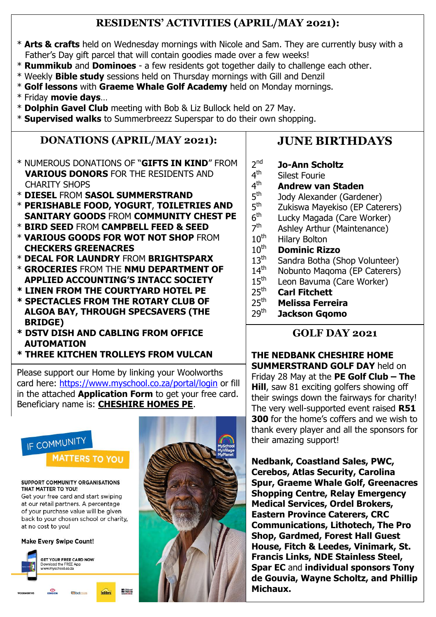# **RESIDENTS' ACTIVITIES (APRIL/MAY 2021):**

- \* **Arts & crafts** held on Wednesday mornings with Nicole and Sam. They are currently busy with a Father's Day gift parcel that will contain goodies made over a few weeks!
- \* **Rummikub** and **Dominoes** a few residents got together daily to challenge each other.
- \* Weekly **Bible study** sessions held on Thursday mornings with Gill and Denzil
- \* **Golf lessons** with **Graeme Whale Golf Academy** held on Monday mornings.
- \* Friday **movie days**…
- \* **Dolphin Gavel Club** meeting with Bob & Liz Bullock held on 27 May.
- \* **Supervised walks** to Summerbreezz Superspar to do their own shopping.

# **DONATIONS (APRIL/MAY 2021):**

- \* NUMEROUS DONATIONS OF "**GIFTS IN KIND**" FROM **VARIOUS DONORS** FOR THE RESIDENTS AND CHARITY SHOPS
- \* **DIESEL** FROM **SASOL SUMMERSTRAND**
- \* **PERISHABLE FOOD, YOGURT**, **TOILETRIES AND SANITARY GOODS** FROM **COMMUNITY CHEST PE**
- \* **BIRD SEED** FROM **CAMPBELL FEED & SEED**
- \* **VARIOUS GOODS FOR WOT NOT SHOP** FROM  **CHECKERS GREENACRES**
- \* **DECAL FOR LAUNDRY** FROM **BRIGHTSPARX**
- \* **GROCERIES** FROM THE **NMU DEPARTMENT OF APPLIED ACCOUNTING'S INTACC SOCIETY**
- **\* LINEN FROM THE COURTYARD HOTEL PE**
- **\* SPECTACLES FROM THE ROTARY CLUB OF ALGOA BAY, THROUGH SPECSAVERS (THE BRIDGE)**
- **\* DSTV DISH AND CABLING FROM OFFICE AUTOMATION**
- **\* THREE KITCHEN TROLLEYS FROM VULCAN**

Please support our Home by linking your Woolworths card here:<https://www.myschool.co.za/portal/login> or fill in the attached **Application Form** to get your free card. Beneficiary name is: **CHESHIRE HOMES PE**.

**ED** Bidves





# **JUNE BIRTHDAYS**

- 2 nd **Jo-Ann Scholtz**
- 4<sup>th</sup> Silest Fourie
- $4<sup>th</sup>$ th **Andrew van Staden**  $5^{\text{th}}$ 
	- Jody Alexander (Gardener)
- $5^{\text{th}}$ Zukiswa Mayekiso (EP Caterers)
- $6^{\text{th}}$ Lucky Magada (Care Worker)
- 7 th Ashley Arthur (Maintenance)
- $10^{th}$ <br> $10^{th}$  Hilary Bolton
	- **Dominic Rizzo**
- $13<sup>th</sup>$ Sandra Botha (Shop Volunteer)
- $14<sup>th</sup>$ Nobunto Maqoma (EP Caterers)
- $15<sup>th</sup>$ Leon Bavuma (Care Worker)
- $25<sup>th</sup>$ <br> $25<sup>th</sup>$  **Carl Fitchett** 
	- 25th **Melissa Ferreira**
- 29th **Jackson Gqomo**

# **GOLF DAY 2021**

**THE NEDBANK CHESHIRE HOME SUMMERSTRAND GOLF DAY** held on Friday 28 May at the **PE Golf Club – The Hill**, saw 81 exciting golfers showing off their swings down the fairways for charity! The very well-supported event raised **R51 300** for the home's coffers and we wish to thank every player and all the sponsors for their amazing support!

**Nedbank, Coastland Sales, PWC, Cerebos, Atlas Security, Carolina Spur, Graeme Whale Golf, Greenacres Shopping Centre, Relay Emergency Medical Services, Ordel Brokers, Eastern Province Caterers, CRC Communications, Lithotech, The Pro Shop, Gardmed, Forest Hall Guest House, Fitch & Leedes, Vinimark, St. Francis Links, NDE Stainless Steel, Spar EC** and **individual sponsors Tony de Gouvia, Wayne Scholtz, and Phillip Michaux.**